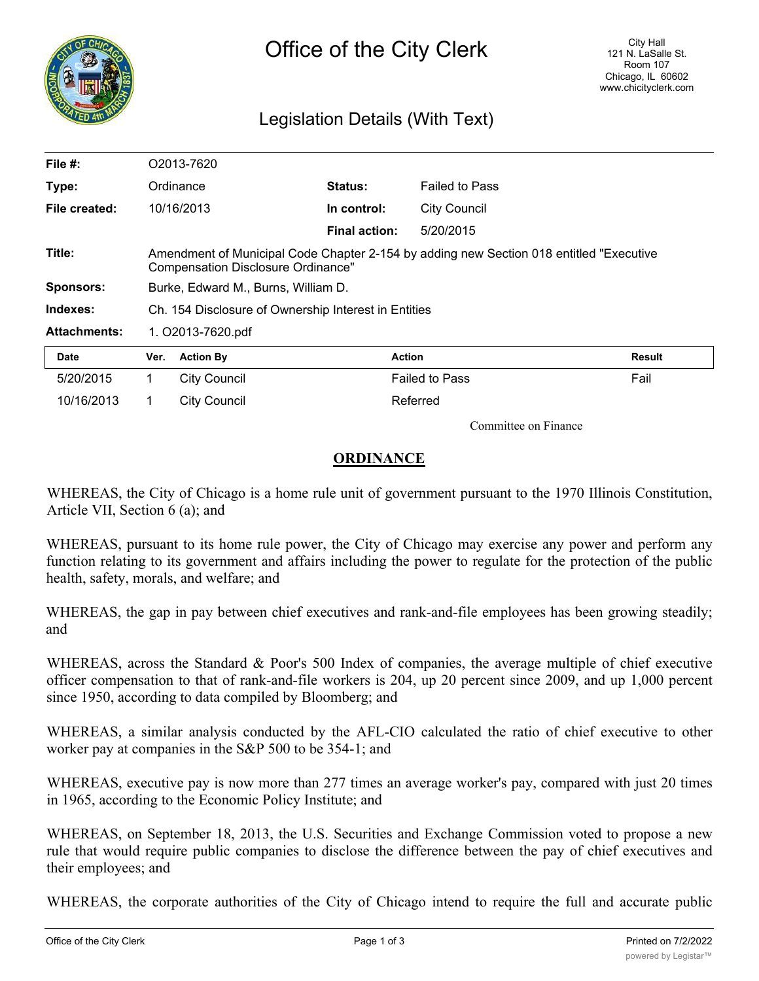

# Legislation Details (With Text)

| File $#$ :          | O2013-7620                                                                                                                            |                  |                      |                       |        |
|---------------------|---------------------------------------------------------------------------------------------------------------------------------------|------------------|----------------------|-----------------------|--------|
| Type:               |                                                                                                                                       | Ordinance        | <b>Status:</b>       | <b>Failed to Pass</b> |        |
| File created:       |                                                                                                                                       | 10/16/2013       | In control:          | <b>City Council</b>   |        |
|                     |                                                                                                                                       |                  | <b>Final action:</b> | 5/20/2015             |        |
| Title:              | Amendment of Municipal Code Chapter 2-154 by adding new Section 018 entitled "Executive"<br><b>Compensation Disclosure Ordinance"</b> |                  |                      |                       |        |
| <b>Sponsors:</b>    | Burke, Edward M., Burns, William D.                                                                                                   |                  |                      |                       |        |
| Indexes:            | Ch. 154 Disclosure of Ownership Interest in Entities                                                                                  |                  |                      |                       |        |
| <b>Attachments:</b> | 1. O2013-7620.pdf                                                                                                                     |                  |                      |                       |        |
| <b>Date</b>         | Ver.                                                                                                                                  | <b>Action By</b> |                      | <b>Action</b>         | Result |
| 5/20/2015           | 1                                                                                                                                     | City Council     |                      | <b>Failed to Pass</b> | Fail   |
| 10/16/2013          | 1.                                                                                                                                    | City Council     |                      | Referred              |        |

Committee on Finance

# **ORDINANCE**

WHEREAS, the City of Chicago is a home rule unit of government pursuant to the 1970 Illinois Constitution, Article VII, Section 6 (a); and

WHEREAS, pursuant to its home rule power, the City of Chicago may exercise any power and perform any function relating to its government and affairs including the power to regulate for the protection of the public health, safety, morals, and welfare; and

WHEREAS, the gap in pay between chief executives and rank-and-file employees has been growing steadily; and

WHEREAS, across the Standard & Poor's 500 Index of companies, the average multiple of chief executive officer compensation to that of rank-and-file workers is 204, up 20 percent since 2009, and up 1,000 percent since 1950, according to data compiled by Bloomberg; and

WHEREAS, a similar analysis conducted by the AFL-CIO calculated the ratio of chief executive to other worker pay at companies in the S&P 500 to be 354-1; and

WHEREAS, executive pay is now more than 277 times an average worker's pay, compared with just 20 times in 1965, according to the Economic Policy Institute; and

WHEREAS, on September 18, 2013, the U.S. Securities and Exchange Commission voted to propose a new rule that would require public companies to disclose the difference between the pay of chief executives and their employees; and

WHEREAS, the corporate authorities of the City of Chicago intend to require the full and accurate public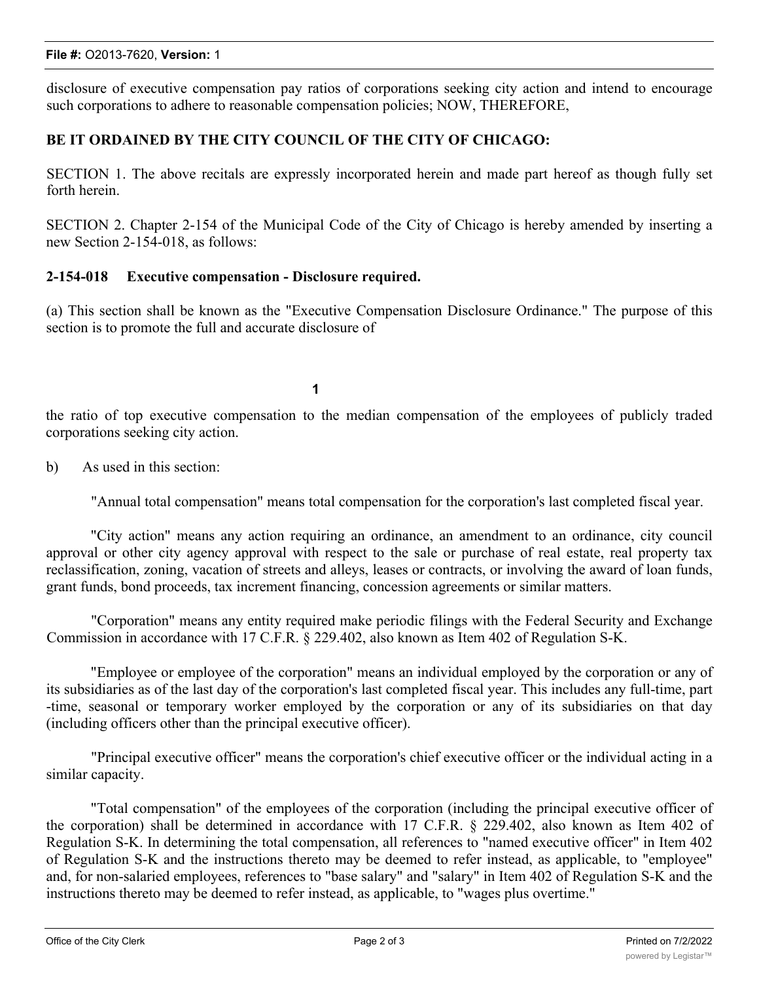#### **File #:** O2013-7620, **Version:** 1

disclosure of executive compensation pay ratios of corporations seeking city action and intend to encourage such corporations to adhere to reasonable compensation policies; NOW, THEREFORE,

# **BE IT ORDAINED BY THE CITY COUNCIL OF THE CITY OF CHICAGO:**

SECTION 1. The above recitals are expressly incorporated herein and made part hereof as though fully set forth herein.

SECTION 2. Chapter 2-154 of the Municipal Code of the City of Chicago is hereby amended by inserting a new Section 2-154-018, as follows:

#### **2-154-018 Executive compensation - Disclosure required.**

(a) This section shall be known as the "Executive Compensation Disclosure Ordinance." The purpose of this section is to promote the full and accurate disclosure of

**1**

the ratio of top executive compensation to the median compensation of the employees of publicly traded corporations seeking city action.

b) As used in this section:

"Annual total compensation" means total compensation for the corporation's last completed fiscal year.

"City action" means any action requiring an ordinance, an amendment to an ordinance, city council approval or other city agency approval with respect to the sale or purchase of real estate, real property tax reclassification, zoning, vacation of streets and alleys, leases or contracts, or involving the award of loan funds, grant funds, bond proceeds, tax increment financing, concession agreements or similar matters.

"Corporation" means any entity required make periodic filings with the Federal Security and Exchange Commission in accordance with 17 C.F.R. § 229.402, also known as Item 402 of Regulation S-K.

"Employee or employee of the corporation" means an individual employed by the corporation or any of its subsidiaries as of the last day of the corporation's last completed fiscal year. This includes any full-time, part -time, seasonal or temporary worker employed by the corporation or any of its subsidiaries on that day (including officers other than the principal executive officer).

"Principal executive officer" means the corporation's chief executive officer or the individual acting in a similar capacity.

"Total compensation" of the employees of the corporation (including the principal executive officer of the corporation) shall be determined in accordance with 17 C.F.R. § 229.402, also known as Item 402 of Regulation S-K. In determining the total compensation, all references to "named executive officer" in Item 402 of Regulation S-K and the instructions thereto may be deemed to refer instead, as applicable, to "employee" and, for non-salaried employees, references to "base salary" and "salary" in Item 402 of Regulation S-K and the instructions thereto may be deemed to refer instead, as applicable, to "wages plus overtime."